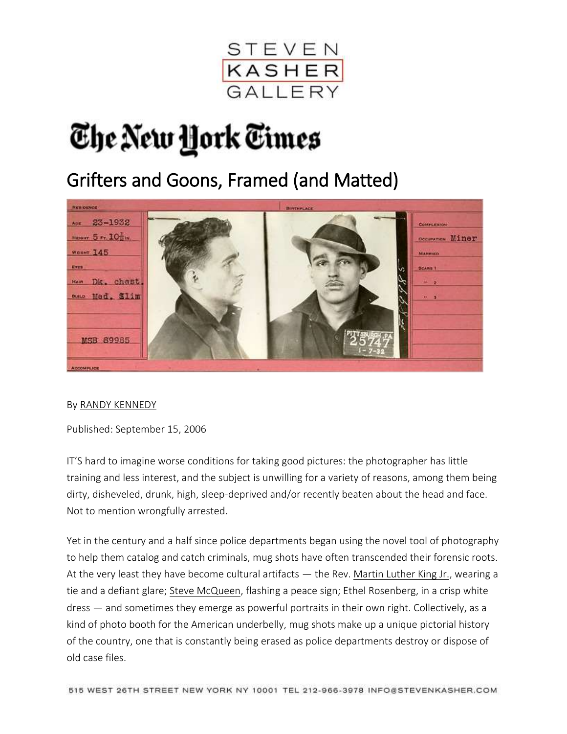

## The New York Times

Grifters and Goons, Framed (and Matted)



## By [RANDY KENNEDY](http://topics.nytimes.com/top/reference/timestopics/people/k/randy_kennedy/index.html?inline=nyt-per)

Published: September 15, 2006

IT'S hard to imagine worse conditions for taking good pictures: the photographer has little training and less interest, and the subject is unwilling for a variety of reasons, among them being dirty, disheveled, drunk, high, sleep-deprived and/or recently beaten about the head and face. Not to mention wrongfully arrested.

Yet in the century and a half since police departments began using the novel tool of photography to help them catalog and catch criminals, mug shots have often transcended their forensic roots. At the very least they have become cultural artifacts — the Rev. [Martin Luther King Jr.,](http://topics.nytimes.com/top/reference/timestopics/people/k/martin_luther_jr_king/index.html?inline=nyt-per) wearing a tie and a defiant glare; [Steve McQueen,](http://movies2.nytimes.com/gst/movies/filmography.html?p_id=48038&inline=nyt-per) flashing a peace sign; Ethel Rosenberg, in a crisp white dress — and sometimes they emerge as powerful portraits in their own right. Collectively, as a kind of photo booth for the American underbelly, mug shots make up a unique pictorial history of the country, one that is constantly being erased as police departments destroy or dispose of old case files.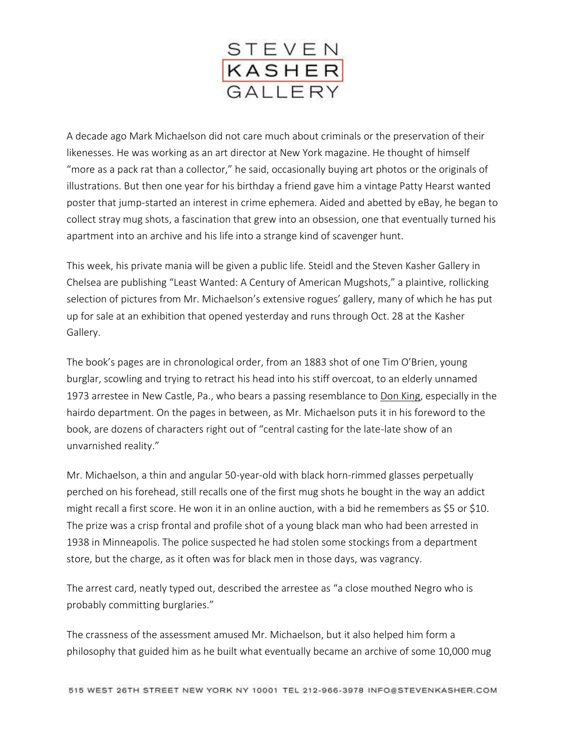

A decade ago Mark Michaelson did not care much about criminals or the preservation of their likenesses. He was working as an art director at New York magazine. He thought of himself "more as a pack rat than a collector," he said, occasionally buying art photos or the originals of illustrations. But then one year for his birthday a friend gave him a vintage Patty Hearst wanted poster that jump-started an interest in crime ephemera. Aided and abetted by eBay, he began to collect stray mug shots, a fascination that grew into an obsession, one that eventually turned his apartment into an archive and his life into a strange kind of scavenger hunt.

This week, his private mania will be given a public life. Steidl and the Steven Kasher Gallery in Chelsea are publishing "Least Wanted: A Century of American Mugshots," a plaintive, rollicking selection of pictures from Mr. Michaelson's extensive rogues' gallery, many of which he has put up for sale at an exhibition that opened yesterday and runs through Oct. 28 at the Kasher Gallery.

The book's pages are in chronological order, from an 1883 shot of one Tim O'Brien, young burglar, scowling and trying to retract his head into his stiff overcoat, to an elderly unnamed 1973 arrestee in New Castle, Pa., who bears a passing resemblance to [Don King,](http://topics.nytimes.com/top/reference/timestopics/people/k/don_king/index.html?inline=nyt-per) especially in the hairdo department. On the pages in between, as Mr. Michaelson puts it in his foreword to the book, are dozens of characters right out of "central casting for the late-late show of an unvarnished reality."

Mr. Michaelson, a thin and angular 50-year-old with black horn-rimmed glasses perpetually perched on his forehead, still recalls one of the first mug shots he bought in the way an addict might recall a first score. He won it in an online auction, with a bid he remembers as \$5 or \$10. The prize was a crisp frontal and profile shot of a young black man who had been arrested in 1938 in Minneapolis. The police suspected he had stolen some stockings from a department store, but the charge, as it often was for black men in those days, was vagrancy.

The arrest card, neatly typed out, described the arrestee as "a close mouthed Negro who is probably committing burglaries."

The crassness of the assessment amused Mr. Michaelson, but it also helped him form a philosophy that guided him as he built what eventually became an archive of some 10,000 mug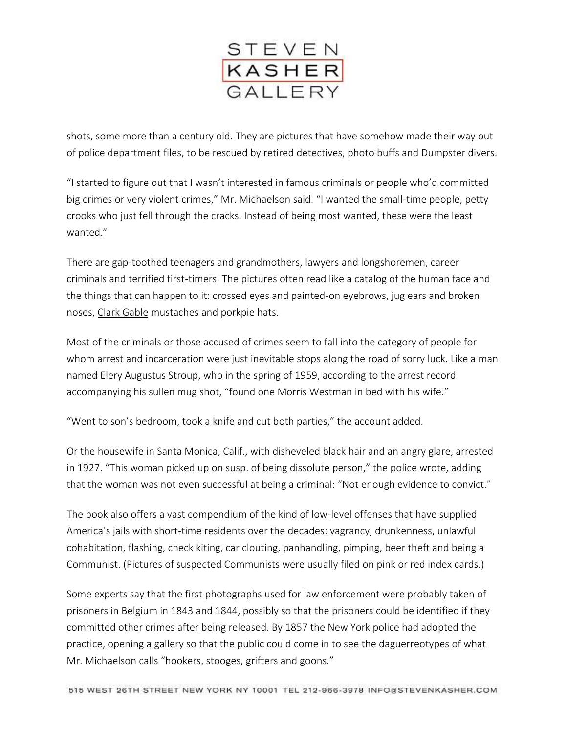

shots, some more than a century old. They are pictures that have somehow made their way out of police department files, to be rescued by retired detectives, photo buffs and Dumpster divers.

"I started to figure out that I wasn't interested in famous criminals or people who'd committed big crimes or very violent crimes," Mr. Michaelson said. "I wanted the small-time people, petty crooks who just fell through the cracks. Instead of being most wanted, these were the least wanted."

There are gap-toothed teenagers and grandmothers, lawyers and longshoremen, career criminals and terrified first-timers. The pictures often read like a catalog of the human face and the things that can happen to it: crossed eyes and painted-on eyebrows, jug ears and broken noses, [Clark Gable](http://movies2.nytimes.com/gst/movies/filmography.html?p_id=10097&inline=nyt-per) mustaches and porkpie hats.

Most of the criminals or those accused of crimes seem to fall into the category of people for whom arrest and incarceration were just inevitable stops along the road of sorry luck. Like a man named Elery Augustus Stroup, who in the spring of 1959, according to the arrest record accompanying his sullen mug shot, "found one Morris Westman in bed with his wife."

"Went to son's bedroom, took a knife and cut both parties," the account added.

Or the housewife in Santa Monica, Calif., with disheveled black hair and an angry glare, arrested in 1927. "This woman picked up on susp. of being dissolute person," the police wrote, adding that the woman was not even successful at being a criminal: "Not enough evidence to convict."

The book also offers a vast compendium of the kind of low-level offenses that have supplied America's jails with short-time residents over the decades: vagrancy, drunkenness, unlawful cohabitation, flashing, check kiting, car clouting, panhandling, pimping, beer theft and being a Communist. (Pictures of suspected Communists were usually filed on pink or red index cards.)

Some experts say that the first photographs used for law enforcement were probably taken of prisoners in Belgium in 1843 and 1844, possibly so that the prisoners could be identified if they committed other crimes after being released. By 1857 the New York police had adopted the practice, opening a gallery so that the public could come in to see the daguerreotypes of what Mr. Michaelson calls "hookers, stooges, grifters and goons."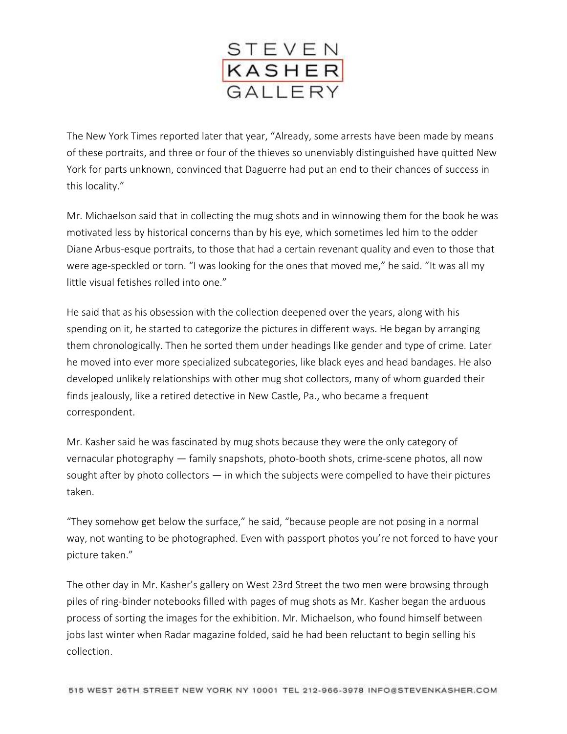

The New York Times reported later that year, "Already, some arrests have been made by means of these portraits, and three or four of the thieves so unenviably distinguished have quitted New York for parts unknown, convinced that Daguerre had put an end to their chances of success in this locality."

Mr. Michaelson said that in collecting the mug shots and in winnowing them for the book he was motivated less by historical concerns than by his eye, which sometimes led him to the odder Diane Arbus-esque portraits, to those that had a certain revenant quality and even to those that were age-speckled or torn. "I was looking for the ones that moved me," he said. "It was all my little visual fetishes rolled into one."

He said that as his obsession with the collection deepened over the years, along with his spending on it, he started to categorize the pictures in different ways. He began by arranging them chronologically. Then he sorted them under headings like gender and type of crime. Later he moved into ever more specialized subcategories, like black eyes and head bandages. He also developed unlikely relationships with other mug shot collectors, many of whom guarded their finds jealously, like a retired detective in New Castle, Pa., who became a frequent correspondent.

Mr. Kasher said he was fascinated by mug shots because they were the only category of vernacular photography — family snapshots, photo-booth shots, crime-scene photos, all now sought after by photo collectors — in which the subjects were compelled to have their pictures taken.

"They somehow get below the surface," he said, "because people are not posing in a normal way, not wanting to be photographed. Even with passport photos you're not forced to have your picture taken."

The other day in Mr. Kasher's gallery on West 23rd Street the two men were browsing through piles of ring-binder notebooks filled with pages of mug shots as Mr. Kasher began the arduous process of sorting the images for the exhibition. Mr. Michaelson, who found himself between jobs last winter when Radar magazine folded, said he had been reluctant to begin selling his collection.